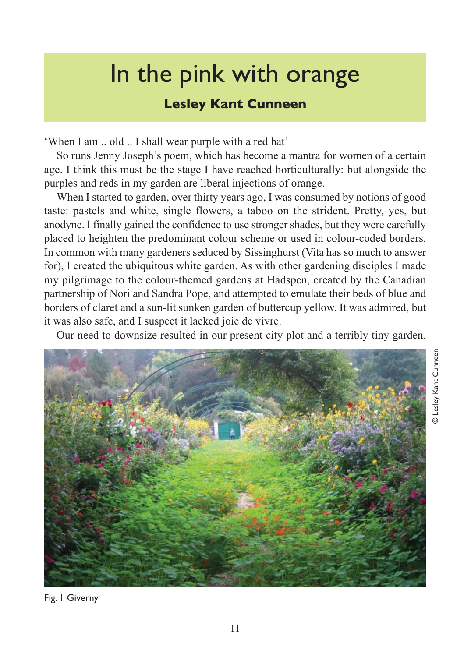## In the pink with orange

## **Lesley Kant Cunneen**

'When I am .. old .. I shall wear purple with a red hat'

So runs Jenny Joseph's poem, which has become a mantra for women of a certain age. I think this must be the stage I have reached horticulturally: but alongside the purples and reds in my garden are liberal injections of orange.

When I started to garden, over thirty years ago, I was consumed by notions of good taste: pastels and white, single flowers, a taboo on the strident. Pretty, yes, but anodyne. I finally gained the confidence to use stronger shades, but they were carefully placed to heighten the predominant colour scheme or used in colour-coded borders. In common with many gardeners seduced by Sissinghurst (Vita has so much to answer for), I created the ubiquitous white garden. As with other gardening disciples I made my pilgrimage to the colour-themed gardens at Hadspen, created by the Canadian partnership of Nori and Sandra Pope, and attempted to emulate their beds of blue and borders of claret and a sun-lit sunken garden of buttercup yellow. It was admired, but it was also safe, and I suspect it lacked joie de vivre.

Our need to downsize resulted in our present city plot and a terribly tiny garden.

© Lesley Kant Cunneen

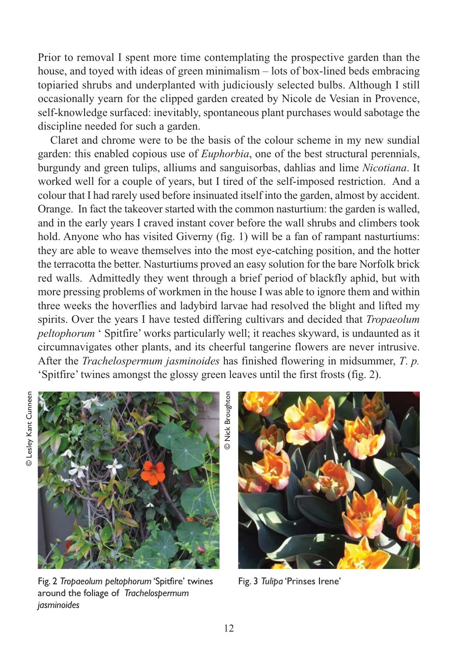Prior to removal I spent more time contemplating the prospective garden than the house, and toyed with ideas of green minimalism – lots of box-lined beds embracing topiaried shrubs and underplanted with judiciously selected bulbs. Although I still occasionally yearn for the clipped garden created by Nicole de Vesian in Provence, self-knowledge surfaced: inevitably, spontaneous plant purchases would sabotage the discipline needed for such a garden.

Claret and chrome were to be the basis of the colour scheme in my new sundial garden: this enabled copious use of *Euphorbia*, one of the best structural perennials, burgundy and green tulips, alliums and sanguisorbas, dahlias and lime *Nicotiana*. It worked well for a couple of years, but I tired of the self-imposed restriction. And a colour that I had rarely used before insinuated itself into the garden, almost by accident. Orange. In fact the takeover started with the common nasturtium: the garden is walled, and in the early years I craved instant cover before the wall shrubs and climbers took hold. Anyone who has visited Giverny (fig. 1) will be a fan of rampant nasturtiums: they are able to weave themselves into the most eye-catching position, and the hotter the terracotta the better. Nasturtiums proved an easy solution for the bare Norfolk brick red walls. Admittedly they went through a brief period of blackfly aphid, but with more pressing problems of workmen in the house I was able to ignore them and within three weeks the hoverflies and ladybird larvae had resolved the blight and lifted my spirits. Over the years I have tested differing cultivars and decided that *Tropaeolum peltophorum* ' Spitfire' works particularly well; it reaches skyward, is undaunted as it circumnavigates other plants, and its cheerful tangerine flowers are never intrusive. After the *Trachelospermum jasminoides* has finished flowering in midsummer, *T*. *p.* 'Spitfire' twines amongst the glossy green leaves until the first frosts (fig. 2).



Fig. 2 *Tropaeolum peltophorum* 'Spitfire' twines around the foliage of *Trachelospermum jasminoides*

**D** Nick Broughton © Nick Broughton



Fig. 3 *Tulipa* 'Prinses Irene'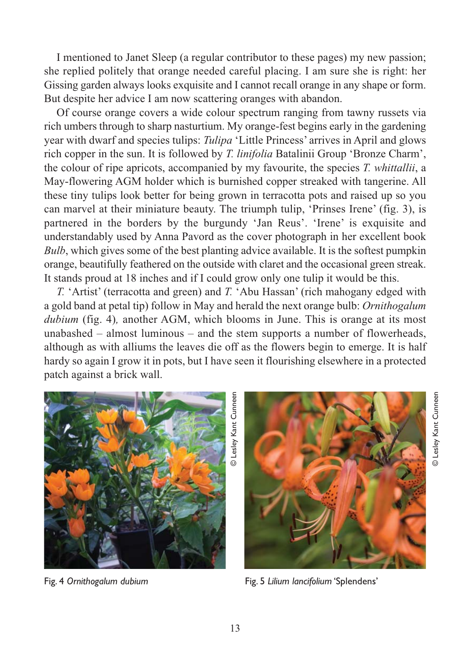I mentioned to Janet Sleep (a regular contributor to these pages) my new passion; she replied politely that orange needed careful placing. I am sure she is right: her Gissing garden always looks exquisite and I cannot recall orange in any shape or form. But despite her advice I am now scattering oranges with abandon.

Of course orange covers a wide colour spectrum ranging from tawny russets via rich umbers through to sharp nasturtium. My orange-fest begins early in the gardening year with dwarf and species tulips: *Tulipa* 'Little Princess' arrives in April and glows rich copper in the sun. It is followed by *T. linifolia* Batalinii Group 'Bronze Charm', the colour of ripe apricots, accompanied by my favourite, the species *T. whittallii*, a May-flowering AGM holder which is burnished copper streaked with tangerine. All these tiny tulips look better for being grown in terracotta pots and raised up so you can marvel at their miniature beauty. The triumph tulip, 'Prinses Irene' (fig. 3), is partnered in the borders by the burgundy 'Jan Reus'. 'Irene' is exquisite and understandably used by Anna Pavord as the cover photograph in her excellent book *Bulb*, which gives some of the best planting advice available. It is the softest pumpkin orange, beautifully feathered on the outside with claret and the occasional green streak. It stands proud at 18 inches and if I could grow only one tulip it would be this.

*T.* 'Artist' (terracotta and green) and *T.* 'Abu Hassan' (rich mahogany edged with a gold band at petal tip) follow in May and herald the next orange bulb: *Ornithogalum dubium* (fig. 4)*,* another AGM, which blooms in June. This is orange at its most unabashed – almost luminous – and the stem supports a number of flowerheads, although as with alliums the leaves die off as the flowers begin to emerge. It is half hardy so again I grow it in pots, but I have seen it flourishing elsewhere in a protected patch against a brick wall.



Fig. 4 *Ornithogalum dubium*



© Lesley Kant Cunneen

Fig. 5 *Lilium lancifolium* 'Splendens'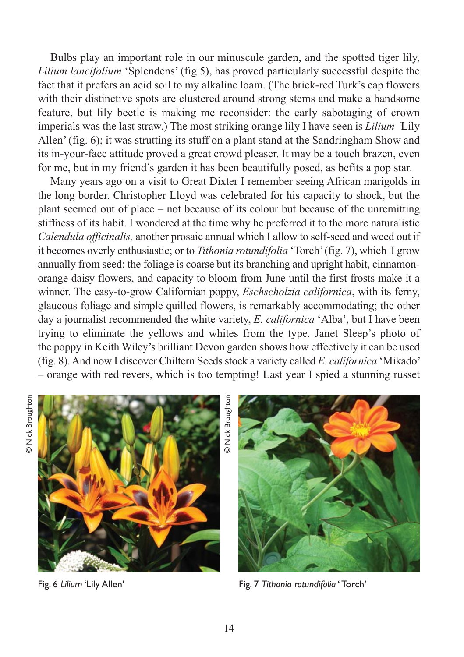Bulbs play an important role in our minuscule garden, and the spotted tiger lily, *Lilium lancifolium* 'Splendens' (fig 5), has proved particularly successful despite the fact that it prefers an acid soil to my alkaline loam. (The brick-red Turk's cap flowers with their distinctive spots are clustered around strong stems and make a handsome feature, but lily beetle is making me reconsider: the early sabotaging of crown imperials was the last straw.) The most striking orange lily I have seen is *Lilium '*Lily Allen' (fig. 6); it was strutting its stuff on a plant stand at the Sandringham Show and its in-your-face attitude proved a great crowd pleaser. It may be a touch brazen, even for me, but in my friend's garden it has been beautifully posed, as befits a pop star.

Many years ago on a visit to Great Dixter I remember seeing African marigolds in the long border. Christopher Lloyd was celebrated for his capacity to shock, but the plant seemed out of place – not because of its colour but because of the unremitting stiffness of its habit. I wondered at the time why he preferred it to the more naturalistic *Calendula officinalis,* another prosaic annual which I allow to self-seed and weed out if it becomes overly enthusiastic; or to *Tithonia rotundifolia* 'Torch' (fig. 7), which I grow annually from seed: the foliage is coarse but its branching and upright habit, cinnamonorange daisy flowers, and capacity to bloom from June until the first frosts make it a winner. The easy-to-grow Californian poppy, *Eschscholzia californica*, with its ferny, glaucous foliage and simple quilled flowers, is remarkably accommodating; the other day a journalist recommended the white variety, *E. californica* 'Alba', but I have been trying to eliminate the yellows and whites from the type. Janet Sleep's photo of the poppy in Keith Wiley's brilliant Devon garden shows how effectively it can be used (fig. 8). And now I discover Chiltern Seeds stock a variety called *E*. *californica* 'Mikado' – orange with red revers, which is too tempting! Last year I spied a stunning russet



Fig. 6 *Lilium* 'Lily Allen'

© Nick Broughton**D** Nick Broughton



Fig. 7 *Tithonia rotundifolia* ' Torch'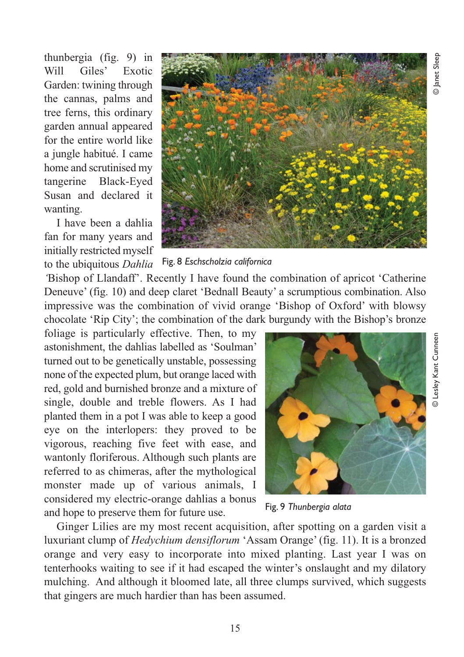thunbergia (fig. 9) in Will Giles' Exotic Garden: twining through the cannas, palms and tree ferns, this ordinary garden annual appeared for the entire world like a jungle habitué. I came home and scrutinised my tangerine Black-Eyed Susan and declared it wanting.

I have been a dahlia fan for many years and initially restricted myself to the ubiquitous *Dahlia*



## Fig. 8 *Eschscholzia californica*

*'*Bishop of Llandaff'. Recently I have found the combination of apricot 'Catherine Deneuve' (fig. 10) and deep claret 'Bednall Beauty' a scrumptious combination. Also impressive was the combination of vivid orange 'Bishop of Oxford' with blowsy chocolate 'Rip City'; the combination of the dark burgundy with the Bishop's bronze

foliage is particularly effective. Then, to my astonishment, the dahlias labelled as 'Soulman' turned out to be genetically unstable, possessing none of the expected plum, but orange laced with red, gold and burnished bronze and a mixture of single, double and treble flowers. As I had planted them in a pot I was able to keep a good eye on the interlopers: they proved to be vigorous, reaching five feet with ease, and wantonly floriferous. Although such plants are referred to as chimeras, after the mythological monster made up of various animals, I considered my electric-orange dahlias a bonus and hope to preserve them for future use.



Fig. 9 *Thunbergia alata*

Ginger Lilies are my most recent acquisition, after spotting on a garden visit a luxuriant clump of *Hedychium densiflorum* 'Assam Orange' (fig. 11). It is a bronzed orange and very easy to incorporate into mixed planting. Last year I was on tenterhooks waiting to see if it had escaped the winter's onslaught and my dilatory mulching. And although it bloomed late, all three clumps survived, which suggests that gingers are much hardier than has been assumed.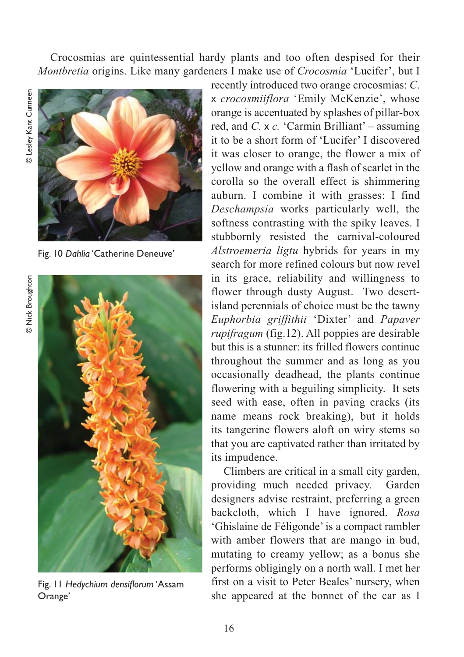Crocosmias are quintessential hardy plants and too often despised for their *Montbretia* origins. Like many gardeners I make use of *Crocosmia* 'Lucifer', but I



Fig. 10 *Dahlia* 'Catherine Deneuve'

**D** Nick Broughton © Nick Broughton



Fig. 11 *Hedychium densiflorum* 'Assam Orange'

recently introduced two orange crocosmias: *C*. x *crocosmiiflora* 'Emily McKenzie', whose orange is accentuated by splashes of pillar-box red, and *C.* x *c.* 'Carmin Brilliant' – assuming it to be a short form of 'Lucifer' I discovered it was closer to orange, the flower a mix of yellow and orange with a flash of scarlet in the corolla so the overall effect is shimmering auburn. I combine it with grasses: I find *Deschampsia* works particularly well, the softness contrasting with the spiky leaves. I stubbornly resisted the carnival-coloured *Alstroemeria ligtu* hybrids for years in my search for more refined colours but now revel in its grace, reliability and willingness to flower through dusty August. Two desertisland perennials of choice must be the tawny *Euphorbia griffithii* 'Dixter' and *Papaver rupifragum* (fig.12). All poppies are desirable but this is a stunner: its frilled flowers continue throughout the summer and as long as you occasionally deadhead, the plants continue flowering with a beguiling simplicity. It sets seed with ease, often in paving cracks (its name means rock breaking), but it holds its tangerine flowers aloft on wiry stems so that you are captivated rather than irritated by its impudence.

Climbers are critical in a small city garden, providing much needed privacy. Garden designers advise restraint, preferring a green backcloth, which I have ignored. *Rosa* 'Ghislaine de Féligonde' is a compact rambler with amber flowers that are mango in bud, mutating to creamy yellow; as a bonus she performs obligingly on a north wall. I met her first on a visit to Peter Beales' nursery, when she appeared at the bonnet of the car as I